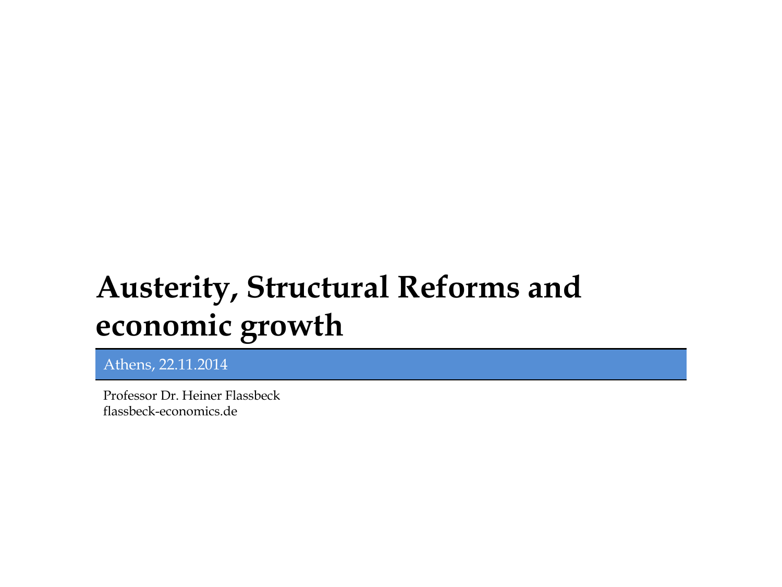# **Austerity, Structural Reforms and economic growth**

Athens, 22.11.2014

Professor Dr. Heiner Flassbeck flassbeck-economics.de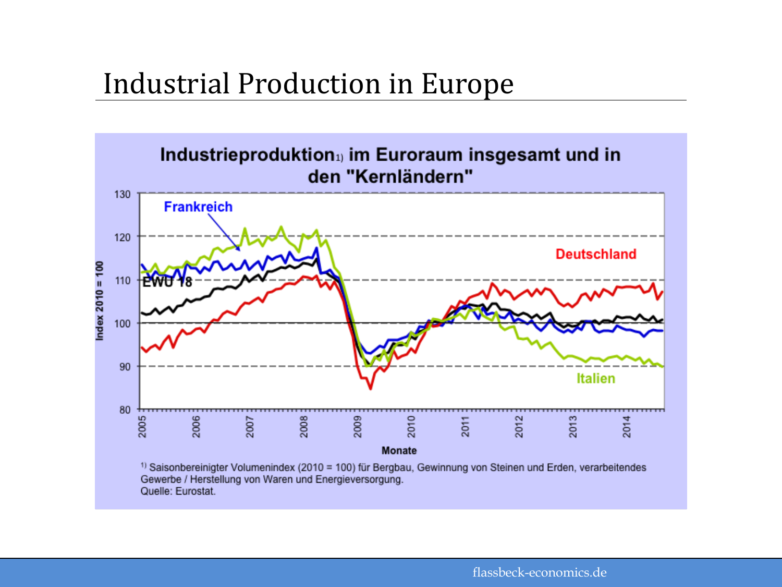#### Industrial Production in Europe

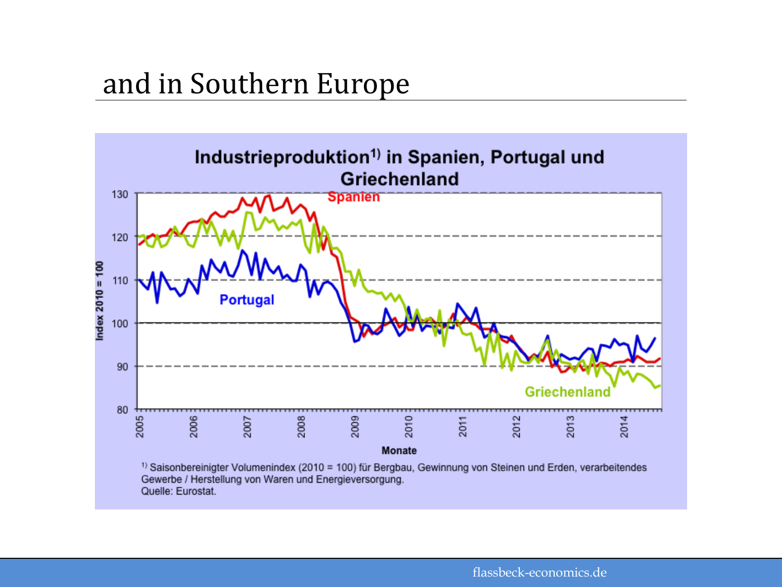#### and in Southern Europe

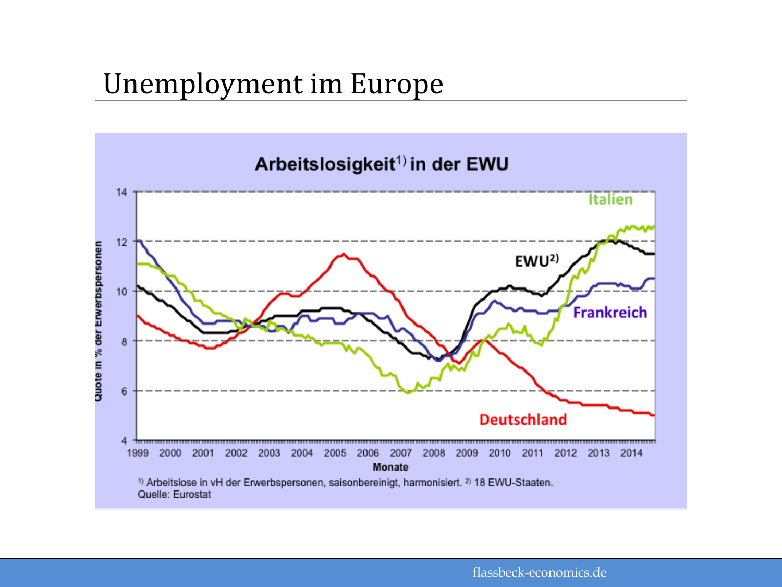#### Unemployment im Europe

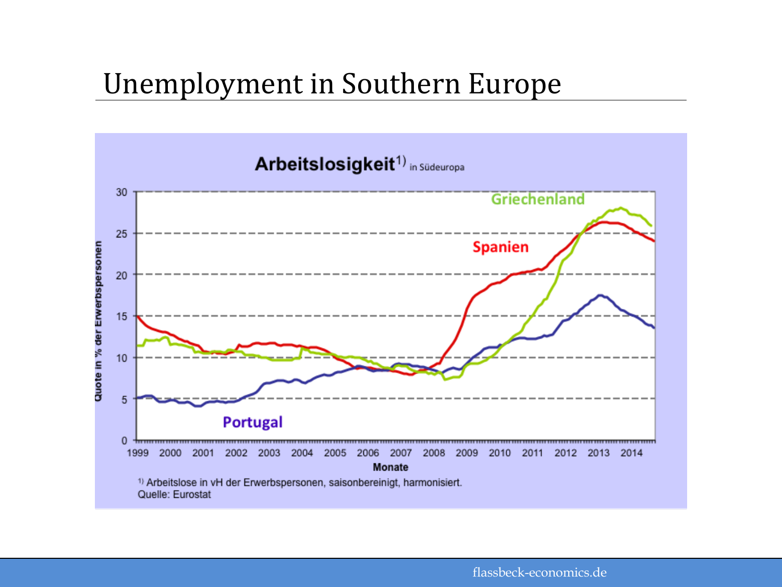### Unemployment in Southern Europe

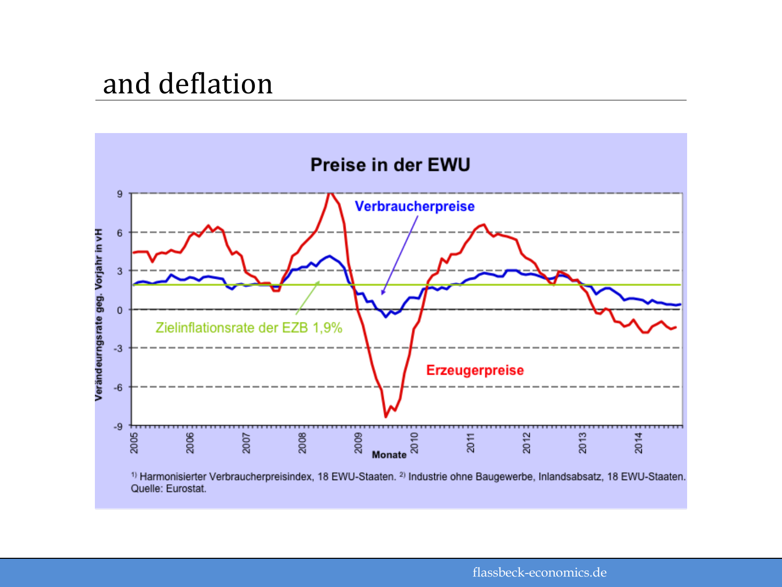### and deflation

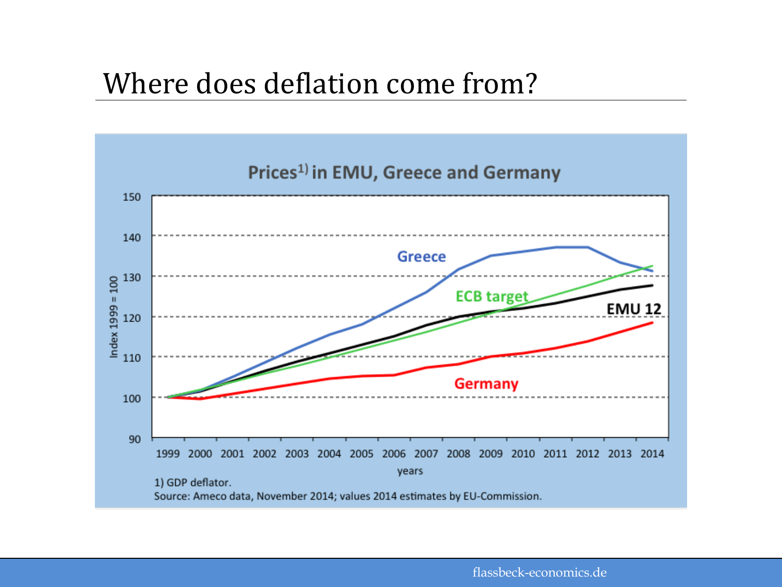### Where does deflation come from?



flassbeck-economics.de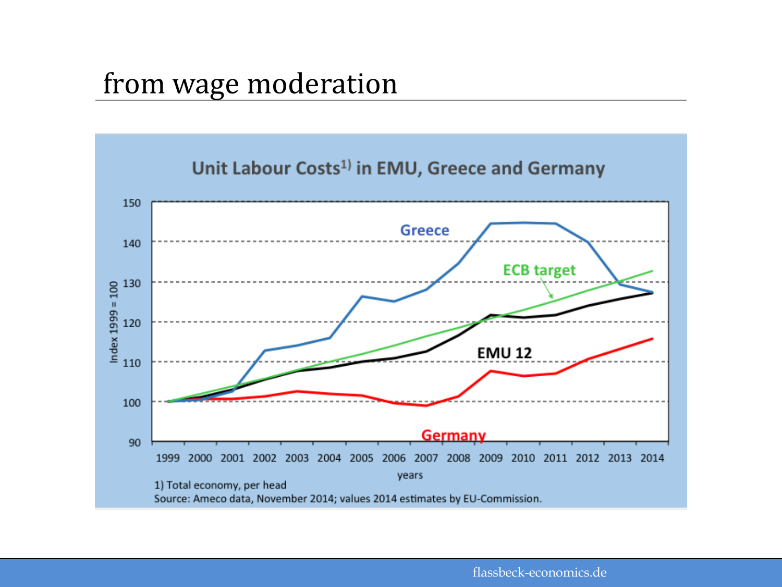### from wage moderation



flassbeck-economics.de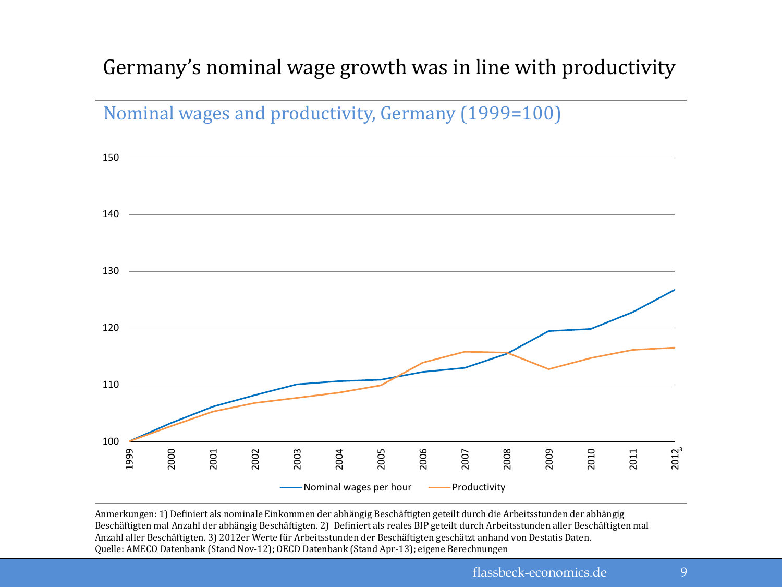#### Germany's nominal wage growth was in line with productivity



Anmerkungen: 1) Definiert als nominale Einkommen der abhängig Beschäftigten geteilt durch die Arbeitsstunden der abhängig Beschäftigten mal Anzahl der abhängig Beschäftigten. 2) Definiert als reales BIP geteilt durch Arbeitsstunden aller Beschäftigten mal Anzahl aller Beschäftigten. 3) 2012er Werte für Arbeitsstunden der Beschäftigten geschätzt anhand von Destatis Daten. Quelle: AMECO Datenbank (Stand Nov-12); OECD Datenbank (Stand Apr-13); eigene Berechnungen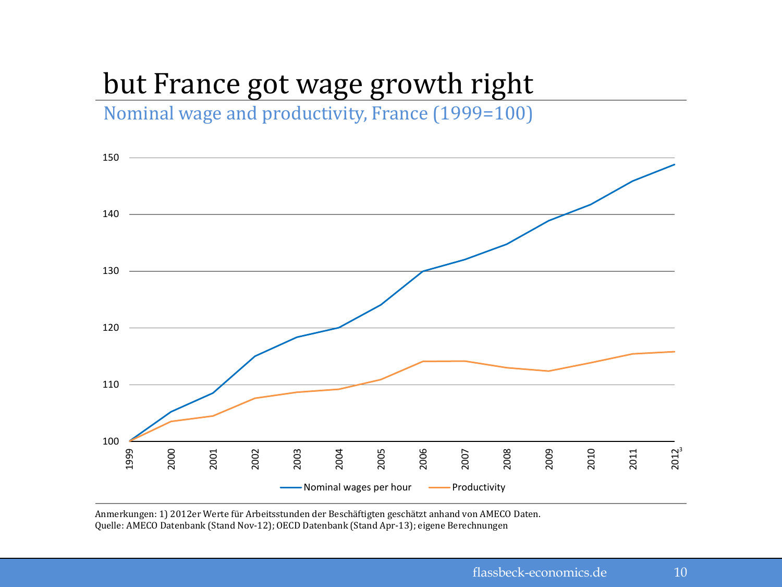## but France got wage growth right

Nominal wage and productivity, France (1999=100)



Anmerkungen: 1) 2012er Werte für Arbeitsstunden der Beschäftigten geschätzt anhand von AMECO Daten. Quelle: AMECO Datenbank (Stand Nov-12); OECD Datenbank (Stand Apr-13); eigene Berechnungen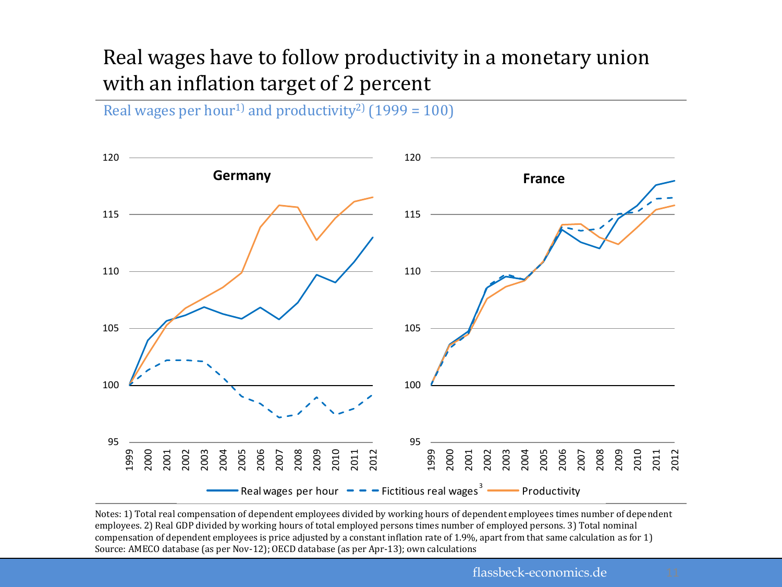#### Real wages have to follow productivity in a monetary union with an inflation target of 2 percent

Real wages per hour<sup>1)</sup> and productivity<sup>2</sup> (1999 = 100)



Notes: 1) Total real compensation of dependent employees divided by working hours of dependent employees times number of dependent employees. 2) Real GDP divided by working hours of total employed persons times number of employed persons. 3) Total nominal compensation of dependent employees is price adjusted by a constant inflation rate of 1.9%, apart from that same calculation as for 1) Source: AMECO database (as per Nov-12); OECD database (as per Apr-13); own calculations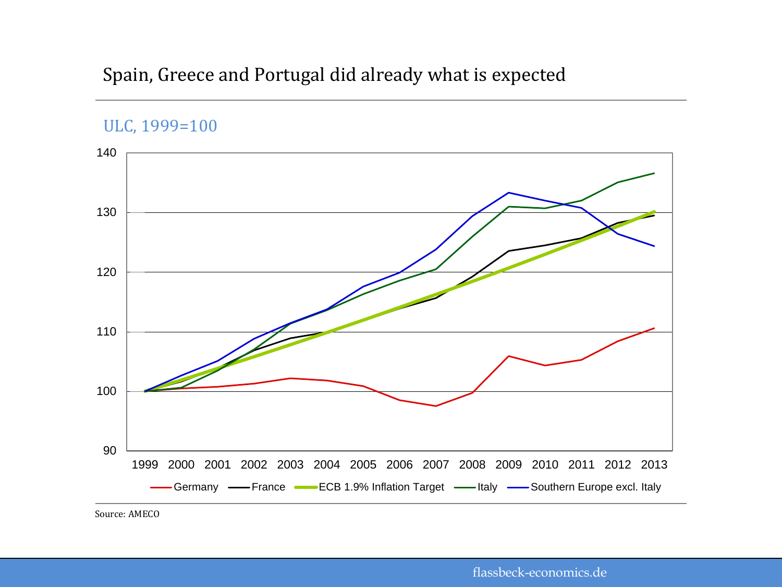#### Spain, Greece and Portugal did already what is expected



Source: AMECO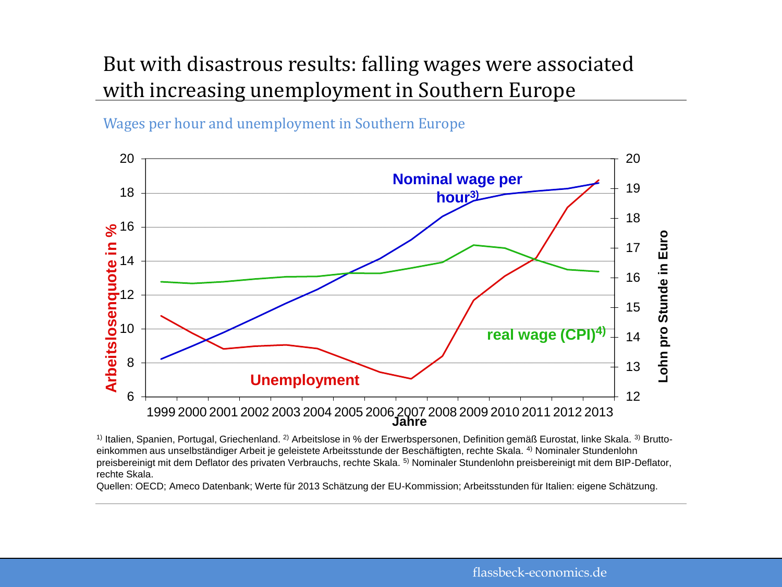#### But with disastrous results: falling wages were associated with increasing unemployment in Southern Europe

Wages per hour and unemployment in Southern Europe



 $1)$  Italien, Spanien, Portugal, Griechenland.  $2)$  Arbeitslose in % der Erwerbspersonen, Definition gemäß Eurostat, linke Skala.  $3)$  Bruttoeinkommen aus unselbständiger Arbeit je geleistete Arbeitsstunde der Beschäftigten, rechte Skala. <sup>4)</sup> Nominaler Stundenlohn preisbereinigt mit dem Deflator des privaten Verbrauchs, rechte Skala. 5) Nominaler Stundenlohn preisbereinigt mit dem BIP-Deflator, rechte Skala.

Quellen: OECD; Ameco Datenbank; Werte für 2013 Schätzung der EU-Kommission; Arbeitsstunden für Italien: eigene Schätzung.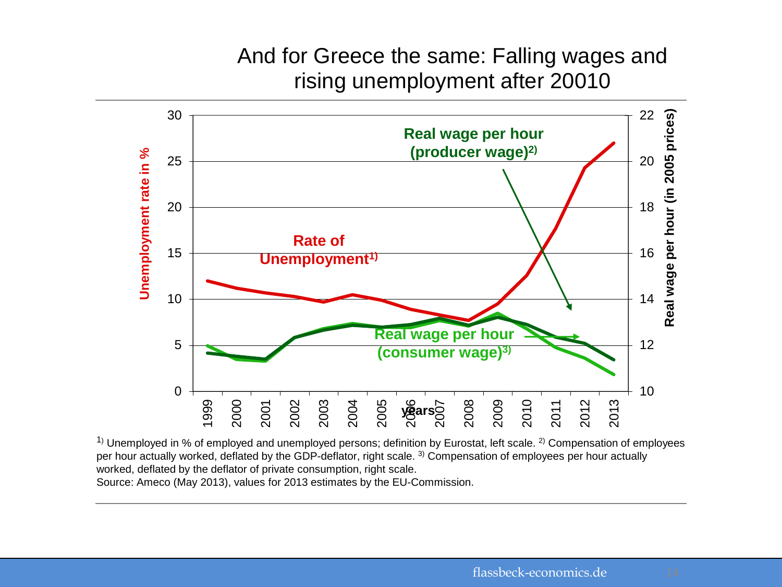#### And for Greece the same: Falling wages and rising unemployment after 20010



 $1)$  Unemployed in % of employed and unemployed persons; definition by Eurostat, left scale. <sup>2)</sup> Compensation of employees per hour actually worked, deflated by the GDP-deflator, right scale. <sup>3)</sup> Compensation of employees per hour actually worked, deflated by the deflator of private consumption, right scale. Source: Ameco (May 2013), values for 2013 estimates by the EU-Commission.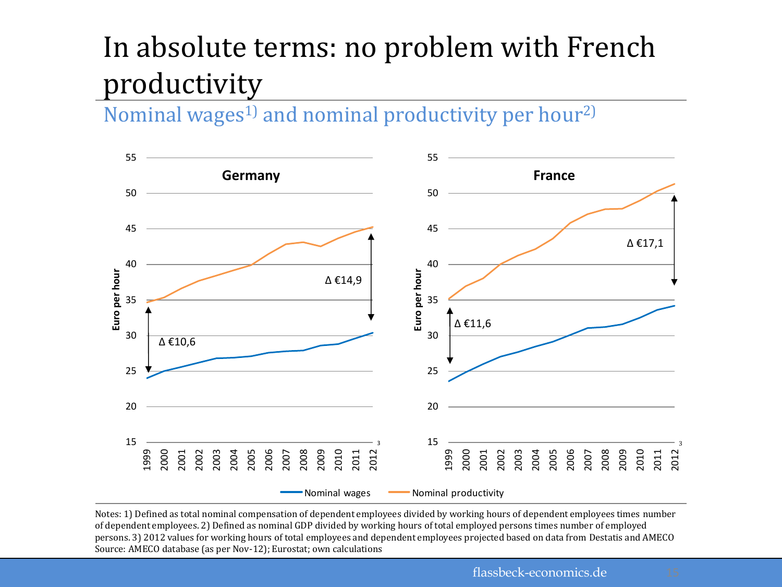## In absolute terms: no problem with French productivity

Nominal wages<sup>1)</sup> and nominal productivity per hour<sup>2)</sup>



Notes: 1) Defined as total nominal compensation of dependent employees divided by working hours of dependent employees times number of dependent employees. 2) Defined as nominal GDP divided by working hours of total employed persons times number of employed persons. 3) 2012 values for working hours of total employees and dependent employees projected based on data from Destatis and AMECO Source: AMECO database (as per Nov-12); Eurostat; own calculations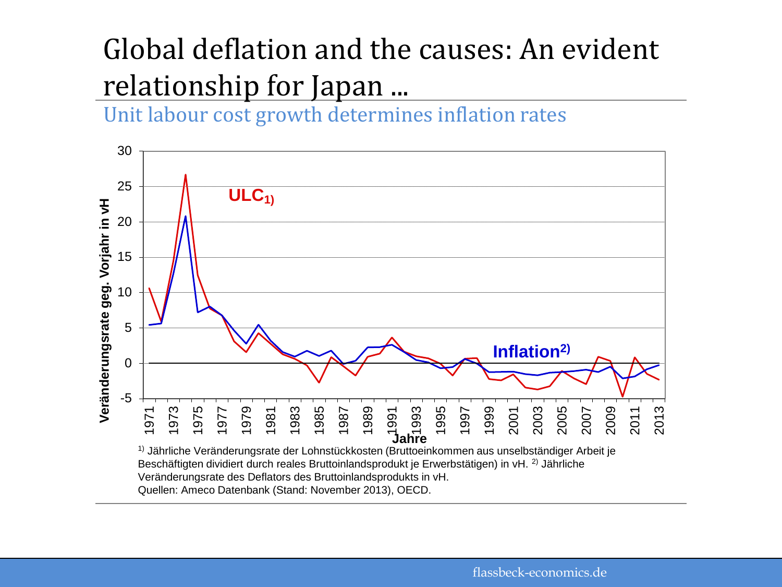## Global deflation and the causes: An evident relationship for Japan ...

Unit labour cost growth determines inflation rates

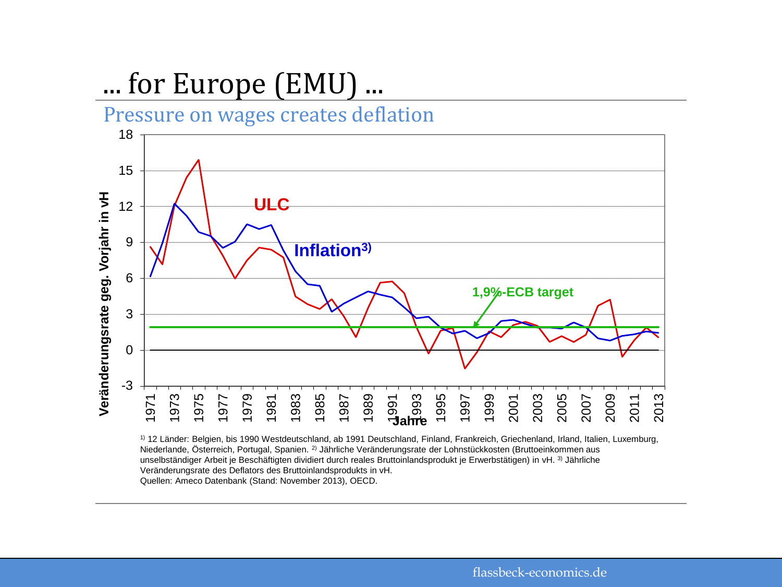## ... for Europe (EMU) ...



1) 12 Länder: Belgien, bis 1990 Westdeutschland, ab 1991 Deutschland, Finland, Frankreich, Griechenland, Irland, Italien, Luxemburg, Niederlande, Österreich, Portugal, Spanien. 2) Jährliche Veränderungsrate der Lohnstückkosten (Bruttoeinkommen aus unselbständiger Arbeit je Beschäftigten dividiert durch reales Bruttoinlandsprodukt je Erwerbstätigen) in vH. 3) Jährliche Veränderungsrate des Deflators des Bruttoinlandsprodukts in vH. Quellen: Ameco Datenbank (Stand: November 2013), OECD.

flassbeck-economics.de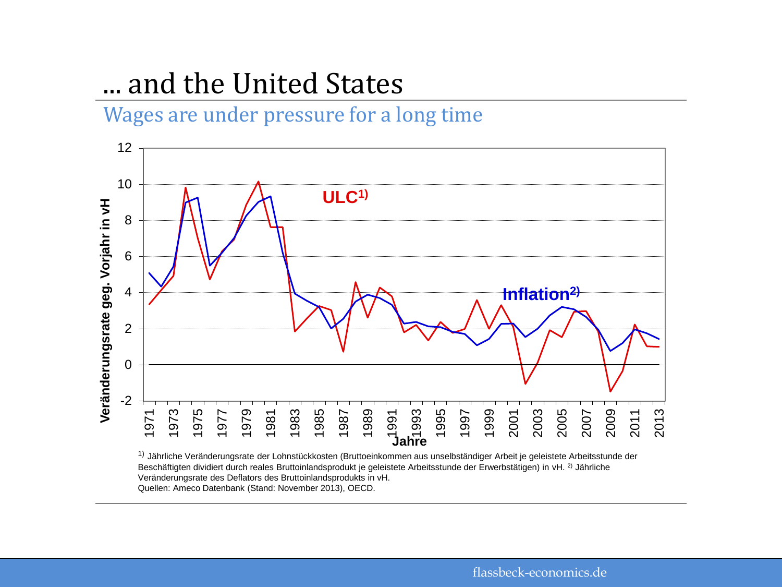### ... and the United States

Wages are under pressure for a long time



<sup>1)</sup> Jährliche Veränderungsrate der Lohnstückkosten (Bruttoeinkommen aus unselbständiger Arbeit je geleistete Arbeitsstunde der Beschäftigten dividiert durch reales Bruttoinlandsprodukt je geleistete Arbeitsstunde der Erwerbstätigen) in vH. <sup>2)</sup> Jährliche Veränderungsrate des Deflators des Bruttoinlandsprodukts in vH. Quellen: Ameco Datenbank (Stand: November 2013), OECD.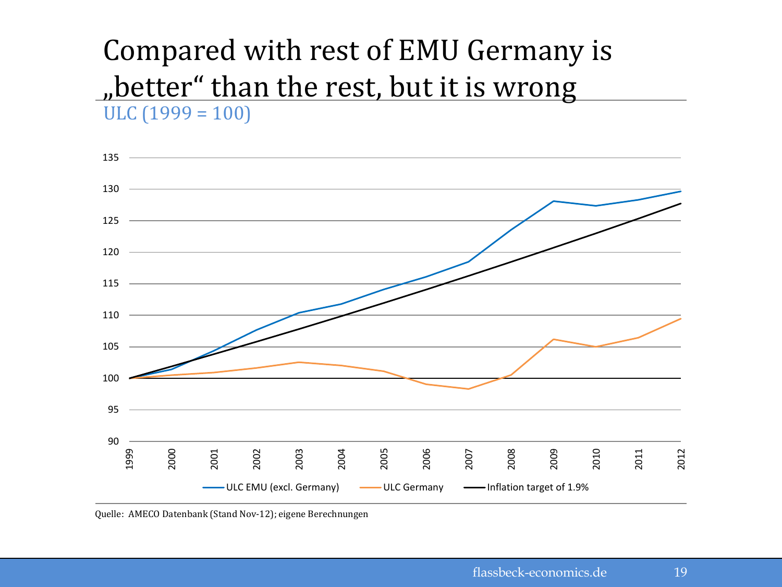#### $ULC (1999 = 100)$ Compared with rest of EMU Germany is "better" than the rest, but it is wrong



Quelle: AMECO Datenbank (Stand Nov-12); eigene Berechnungen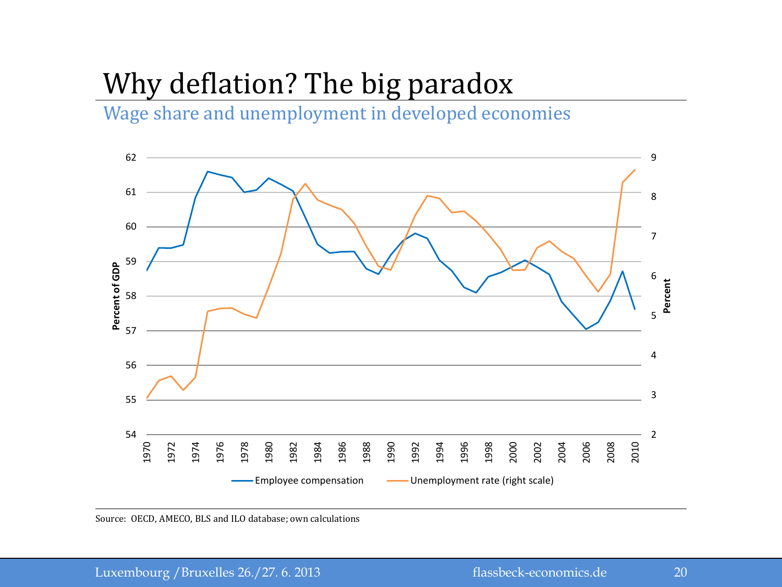## Why deflation? The big paradox

Wage share and unemployment in developed economies



Source: OECD, AMECO, BLS and ILO database; own calculations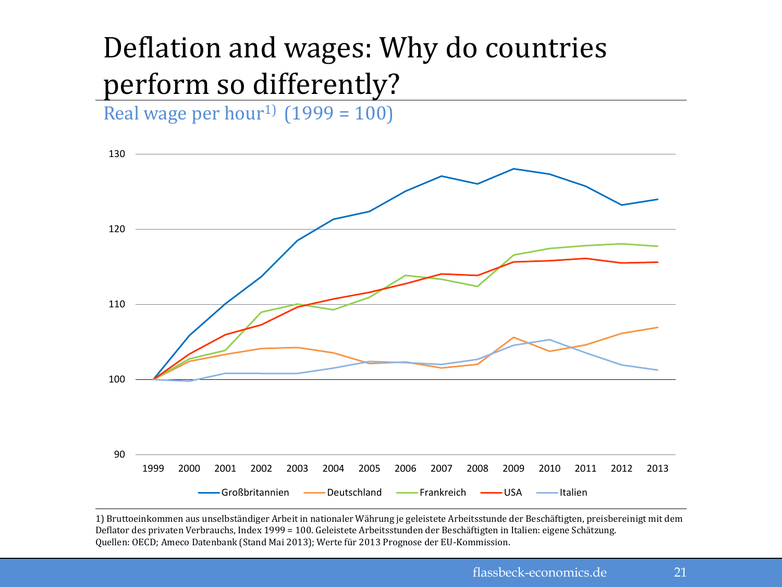## Deflation and wages: Why do countries perform so differently?

Real wage per hour<sup>1)</sup>  $(1999 = 100)$ 



1) Bruttoeinkommen aus unselbständiger Arbeit in nationaler Währung je geleistete Arbeitsstunde der Beschäftigten, preisbereinigt mit dem Deflator des privaten Verbrauchs, Index 1999 = 100. Geleistete Arbeitsstunden der Beschäftigten in Italien: eigene Schätzung. Quellen: OECD; Ameco Datenbank (Stand Mai 2013); Werte für 2013 Prognose der EU-Kommission.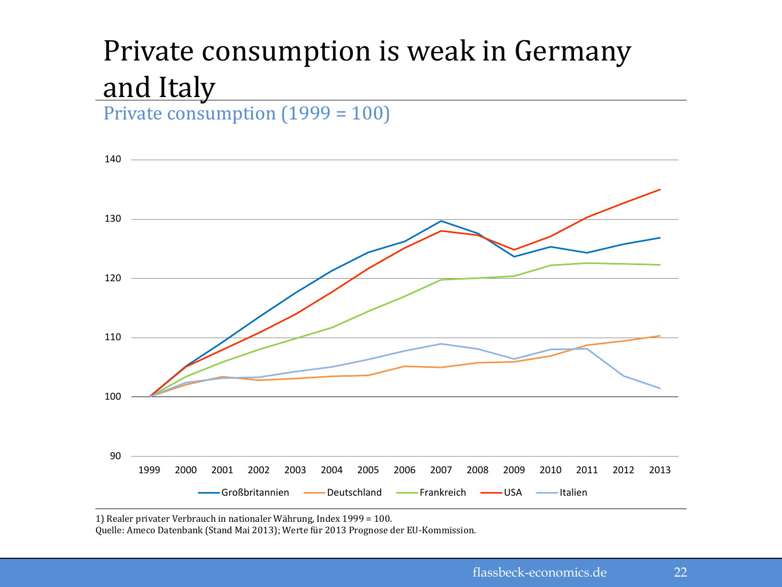# Private consumption is weak in Germany and Italy

Private consumption (1999 = 100)



1) Realer privater Verbrauch in nationaler Währung, Index 1999 = 100.

Quelle: Ameco Datenbank (Stand Mai 2013); Werte für 2013 Prognose der EU-Kommission.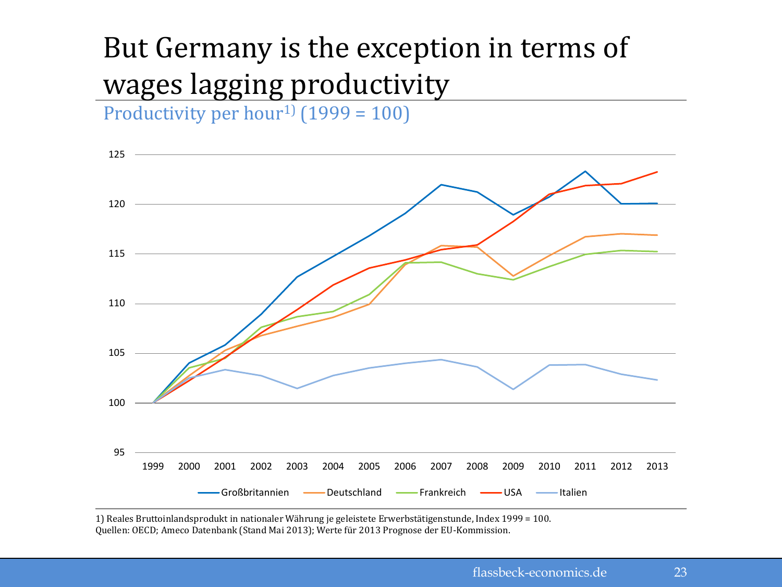## But Germany is the exception in terms of wages lagging productivity

Productivity per hour<sup>1)</sup> (1999 = 100)



1) Reales Bruttoinlandsprodukt in nationaler Währung je geleistete Erwerbstätigenstunde, Index 1999 = 100. Quellen: OECD; Ameco Datenbank (Stand Mai 2013); Werte für 2013 Prognose der EU-Kommission.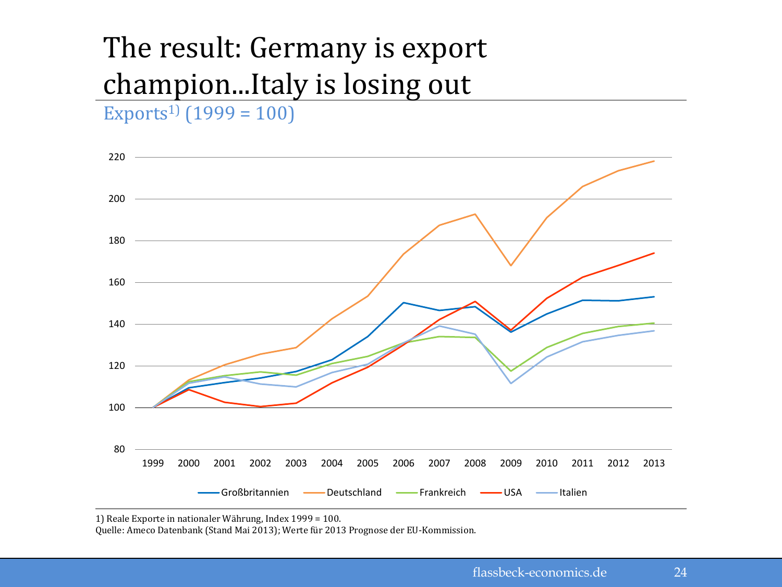# The result: Germany is export champion...Italy is losing out

Exports<sup>1</sup> $(1999 = 100)$ 



1) Reale Exporte in nationaler Währung, Index 1999 = 100.

Quelle: Ameco Datenbank (Stand Mai 2013); Werte für 2013 Prognose der EU-Kommission.

24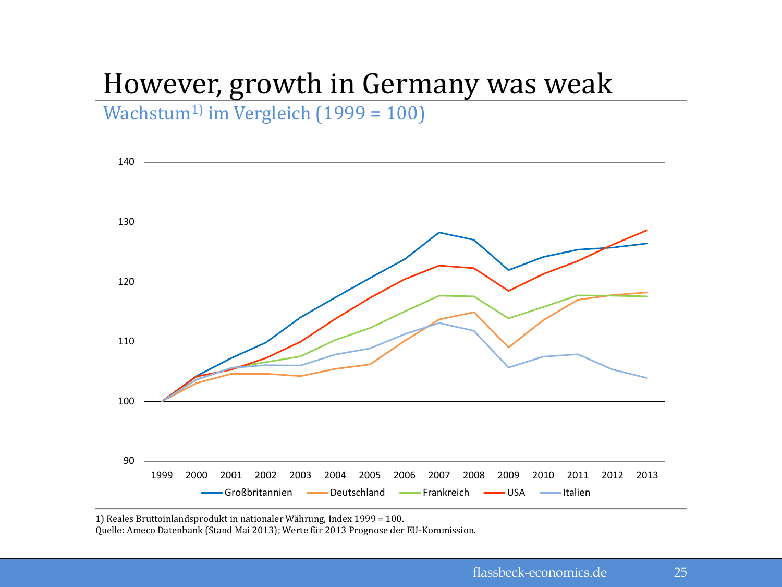## However, growth in Germany was weak

Wachstum<sup>1)</sup> im Vergleich (1999 = 100)



1) Reales Bruttoinlandsprodukt in nationaler Währung, Index 1999 = 100.

Quelle: Ameco Datenbank (Stand Mai 2013); Werte für 2013 Prognose der EU-Kommission.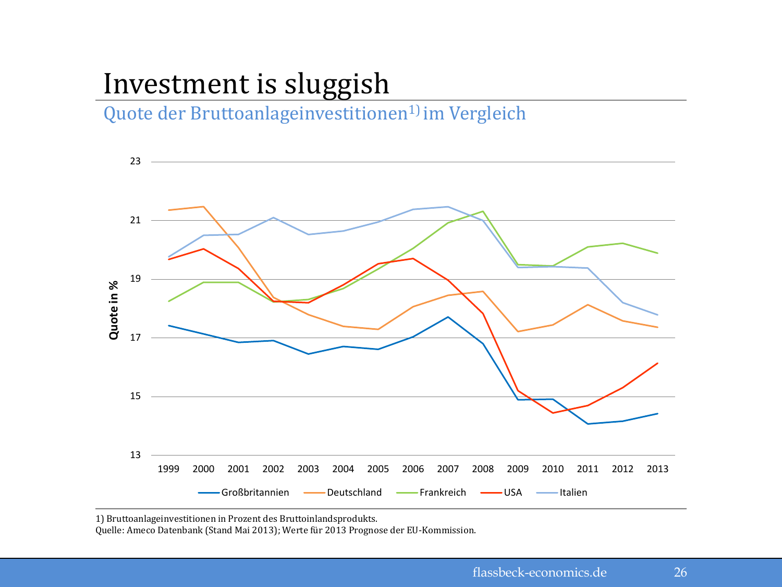## Investment is sluggish

Quote der Bruttoanlageinvestitionen<sup>1)</sup> im Vergleich



1) Bruttoanlageinvestitionen in Prozent des Bruttoinlandsprodukts.

Quelle: Ameco Datenbank (Stand Mai 2013); Werte für 2013 Prognose der EU-Kommission.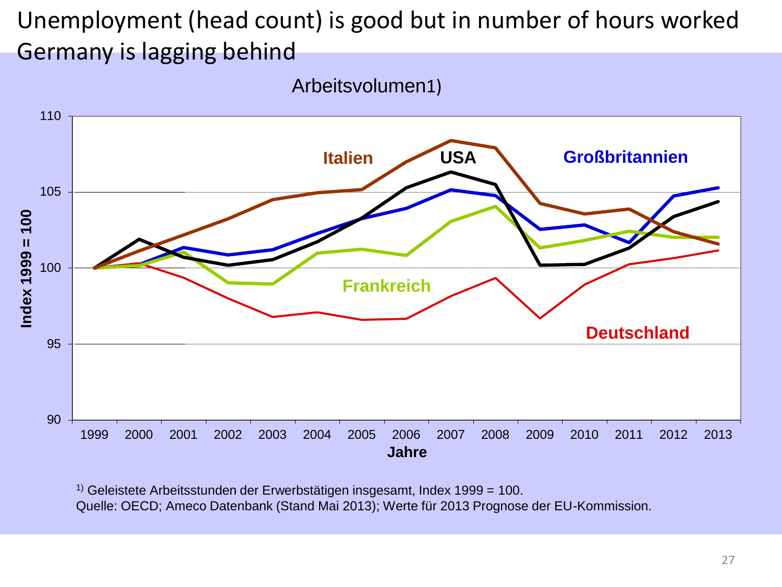#### Unemployment (head count) is good but in number of hours worked Germany is lagging behind

Arbeitsvolumen1)



1) Geleistete Arbeitsstunden der Erwerbstätigen insgesamt, Index 1999 = 100. Quelle: OECD; Ameco Datenbank (Stand Mai 2013); Werte für 2013 Prognose der EU-Kommission.